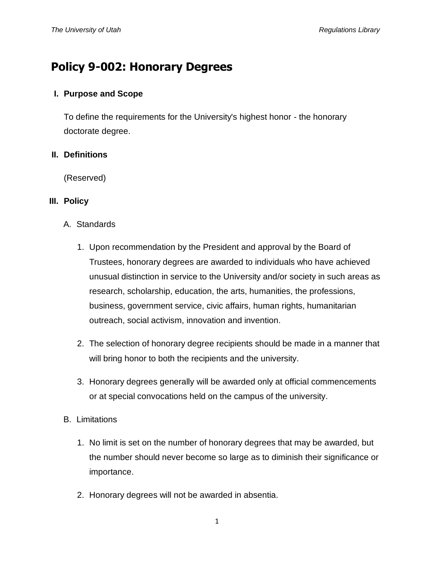# **Policy 9-002: Honorary Degrees**

## **I. Purpose and Scope**

To define the requirements for the University's highest honor - the honorary doctorate degree.

## **II. Definitions**

(Reserved)

## **III. Policy**

- A. Standards
	- 1. Upon recommendation by the President and approval by the Board of Trustees, honorary degrees are awarded to individuals who have achieved unusual distinction in service to the University and/or society in such areas as research, scholarship, education, the arts, humanities, the professions, business, government service, civic affairs, human rights, humanitarian outreach, social activism, innovation and invention.
	- 2. The selection of honorary degree recipients should be made in a manner that will bring honor to both the recipients and the university.
	- 3. Honorary degrees generally will be awarded only at official commencements or at special convocations held on the campus of the university.
- B. Limitations
	- 1. No limit is set on the number of honorary degrees that may be awarded, but the number should never become so large as to diminish their significance or importance.
	- 2. Honorary degrees will not be awarded in absentia.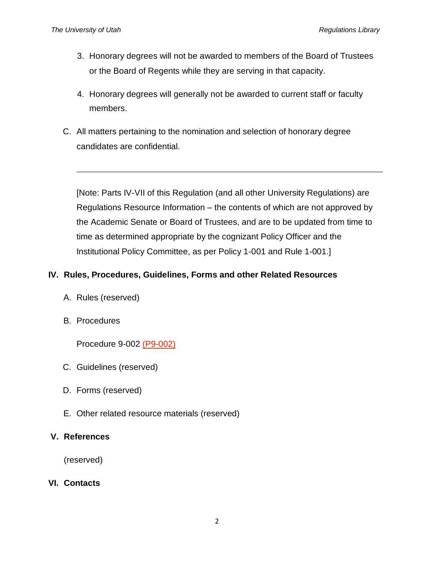- 3. Honorary degrees will not be awarded to members of the Board of Trustees or the Board of Regents while they are serving in that capacity.
- 4. Honorary degrees will generally not be awarded to current staff or faculty members.
- C. All matters pertaining to the nomination and selection of honorary degree candidates are confidential.

[Note: Parts IV-VII of this Regulation (and all other University Regulations) are Regulations Resource Information – the contents of which are not approved by the Academic Senate or Board of Trustees, and are to be updated from time to time as determined appropriate by the cognizant Policy Officer and the Institutional Policy Committee, as per Policy 1-001 and Rule 1-001.]

# **IV. Rules, Procedures, Guidelines, Forms and other Related Resources**

- A. Rules (reserved)
- B. Procedures

Procedure 9-002 [\(P9-002\)](http://regulations.utah.edu/community/procedure/P9-002.php)

- C. Guidelines (reserved)
- D. Forms (reserved)
- E. Other related resource materials (reserved)

### **V. References**

(reserved)

### **VI. Contacts**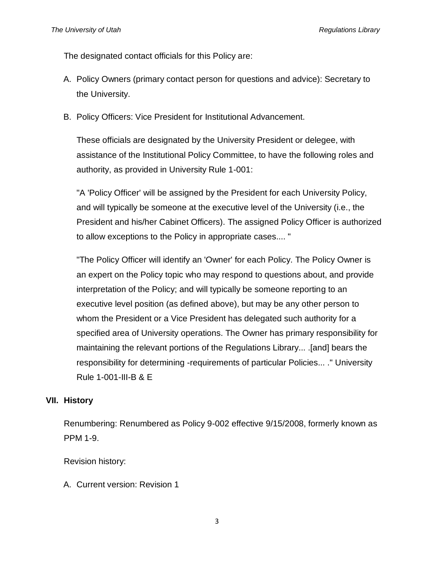The designated contact officials for this Policy are:

- A. Policy Owners (primary contact person for questions and advice): Secretary to the University.
- B. Policy Officers: Vice President for Institutional Advancement.

These officials are designated by the University President or delegee, with assistance of the Institutional Policy Committee, to have the following roles and authority, as provided in University Rule 1-001:

"A 'Policy Officer' will be assigned by the President for each University Policy, and will typically be someone at the executive level of the University (i.e., the President and his/her Cabinet Officers). The assigned Policy Officer is authorized to allow exceptions to the Policy in appropriate cases.... "

"The Policy Officer will identify an 'Owner' for each Policy. The Policy Owner is an expert on the Policy topic who may respond to questions about, and provide interpretation of the Policy; and will typically be someone reporting to an executive level position (as defined above), but may be any other person to whom the President or a Vice President has delegated such authority for a specified area of University operations. The Owner has primary responsibility for maintaining the relevant portions of the Regulations Library... .[and] bears the responsibility for determining -requirements of particular Policies... ." University Rule 1-001-III-B & E

#### **VII. History**

Renumbering: Renumbered as Policy 9-002 effective 9/15/2008, formerly known as PPM 1-9.

Revision history:

A. Current version: Revision 1